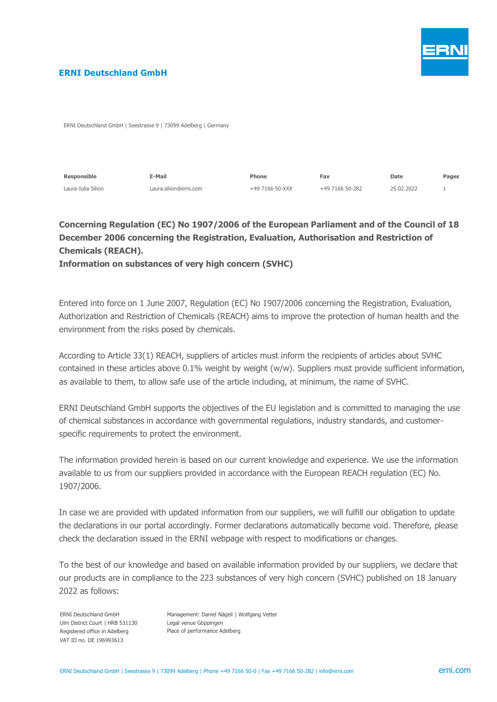

### **ERNI Deutschland GmbH**

ERNI Deutschland GmbH | Seestrasse 9 | 73099 Adelberg | Germany

| Responsible        | प-Mail                | Phone           | Fax             | <b>Date</b> | Pages |
|--------------------|-----------------------|-----------------|-----------------|-------------|-------|
| Laura-Iulia Silion | Laura.silion@erni.com | +49 7166 50-XXX | +49 7166 50-282 | 25.02.2022  |       |

# **Concerning Regulation (EC) No 1907/2006 of the European Parliament and of the Council of 18 December 2006 concerning the Registration, Evaluation, Authorisation and Restriction of Chemicals (REACH).**

**Information on substances of very high concern (SVHC)**

Entered into force on 1 June 2007, Regulation (EC) No 1907/2006 concerning the Registration, Evaluation, Authorization and Restriction of Chemicals (REACH) aims to improve the protection of human health and the environment from the risks posed by chemicals.

According to Article 33(1) REACH, suppliers of articles must inform the recipients of articles about SVHC contained in these articles above 0.1% weight by weight (w/w). Suppliers must provide sufficient information, as available to them, to allow safe use of the article including, at minimum, the name of SVHC.

ERNI Deutschland GmbH supports the objectives of the EU legislation and is committed to managing the use of chemical substances in accordance with governmental regulations, industry standards, and customerspecific requirements to protect the environment.

The information provided herein is based on our current knowledge and experience. We use the information available to us from our suppliers provided in accordance with the European REACH regulation (EC) No. 1907/2006.

In case we are provided with updated information from our suppliers, we will fulfill our obligation to update the declarations in our portal accordingly. Former declarations automatically become void. Therefore, please check the declaration issued in the ERNI webpage with respect to modifications or changes.

To the best of our knowledge and based on available information provided by our suppliers, we declare that our products are in compliance to the 223 substances of very high concern (SVHC) published on 18 January 2022 as follows:

ERNI Deutschland GmbH Ulm District Court | HRB 531130 Registered office in Adelberg VAT ID no. DE 196993613

Management: Daniel Nägeli | Wolfgang Vetter Legal venue Göppingen Place of performance Adelberg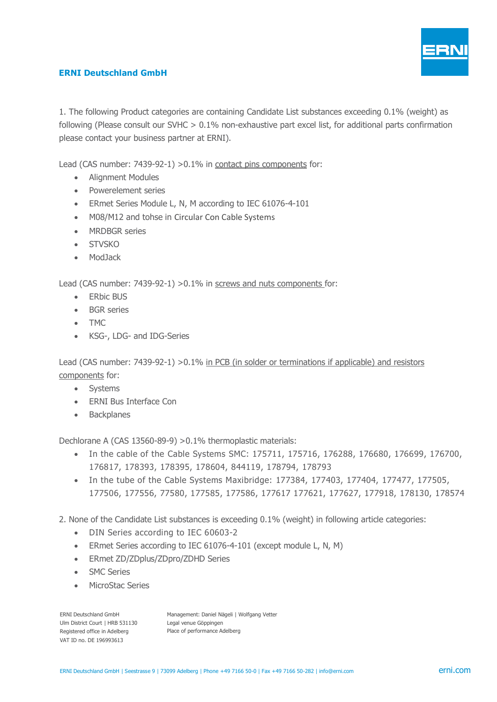

## **ERNI Deutschland GmbH**

1. The following Product categories are containing Candidate List substances exceeding 0.1% (weight) as following (Please consult our SVHC > 0.1% non-exhaustive part excel list, for additional parts confirmation please contact your business partner at ERNI).

Lead (CAS number: 7439-92-1) >0.1% in contact pins components for:

- Alignment Modules
- Powerelement series
- ERmet Series Module L, N, M according to IEC 61076-4-101
- M08/M12 and tohse in Circular Con Cable Systems
- MRDBGR series
- STVSKO
- ModJack

Lead (CAS number: 7439-92-1) >0.1% in screws and nuts components for:

- ERbic BUS
- BGR series
- TMC
- KSG-, LDG- and IDG-Series

Lead (CAS number: 7439-92-1) >0.1% in PCB (in solder or terminations if applicable) and resistors components for:

- Systems
- ERNI Bus Interface Con
- Backplanes

Dechlorane A (CAS 13560-89-9) >0.1% thermoplastic materials:

- In the cable of the Cable Systems SMC: 175711, 175716, 176288, 176680, 176699, 176700, 176817, 178393, 178395, 178604, 844119, 178794, 178793
- In the tube of the Cable Systems Maxibridge: 177384, 177403, 177404, 177477, 177505, 177506, 177556, 77580, 177585, 177586, 177617 177621, 177627, 177918, 178130, 178574
- 2. None of the Candidate List substances is exceeding 0.1% (weight) in following article categories:
	- DIN Series according to IEC 60603-2
	- ERmet Series according to IEC 61076-4-101 (except module L, N, M)
	- ERmet ZD/ZDplus/ZDpro/ZDHD Series
	- SMC Series
	- MicroStac Series

ERNI Deutschland GmbH Ulm District Court | HRB 531130 Registered office in Adelberg VAT ID no. DE 196993613

Management: Daniel Nägeli | Wolfgang Vetter Legal venue Göppingen Place of performance Adelberg